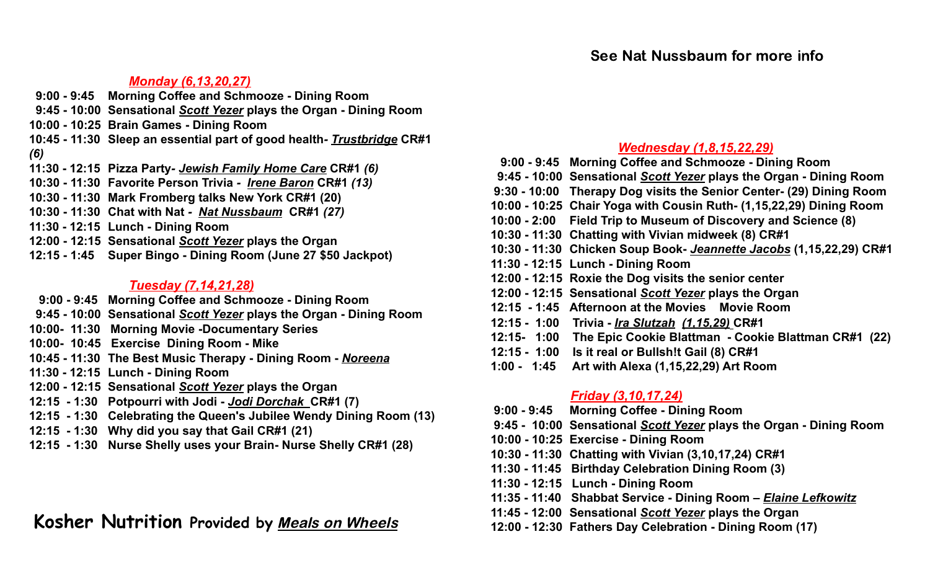### *Monday (6,13,20,27)*

- **9:00 - 9:45 Morning Coffee and Schmooze - Dining Room**
- **9:45 - 10:00 Sensational** *Scott Yezer* **plays the Organ - Dining Room**
- **10:00 - 10:25 Brain Games - Dining Room**
- **10:45 - 11:30 Sleep an essential part of good health***- Trustbridge* **CR#1** *(6)*
- **11:30 - 12:15 Pizza Party***- Jewish Family Home Care* **CR#1** *(6)*
- **10:30 - 11:30 Favorite Person Trivia** *- Irene Baron* **CR#1** *(13)*
- **10:30 - 11:30 Mark Fromberg talks New York CR#1 (20)**
- **10:30 - 11:30 Chat with Nat** *- Nat Nussbaum* **CR#1** *(27)*
- **11:30 - 12:15 Lunch - Dining Room**
- **12:00 - 12:15 Sensational** *Scott Yezer* **plays the Organ**
- **12:15 - 1:45 Super Bingo - Dining Room (June 27 \$50 Jackpot)**

#### *Tuesday (7,14,21,28)*

- **9:00 - 9:45 Morning Coffee and Schmooze - Dining Room**
- **9:45 - 10:00 Sensational** *Scott Yezer* **plays the Organ - Dining Room**
- **10:00- 11:30 Morning Movie -Documentary Series**
- **10:00- 10:45 Exercise Dining Room - Mike**
- **10:45 - 11:30 The Best Music Therapy - Dining Room -** *Noreena*
- **11:30 - 12:15 Lunch - Dining Room**
- **12:00 - 12:15 Sensational** *Scott Yezer* **plays the Organ**
- **12:15 - 1:30 Potpourri with Jodi -** *Jodi Dorchak* **CR#1 (7)**
- **12:15 - 1:30 Celebrating the Queen's Jubilee Wendy Dining Room (13)**
- **12:15 - 1:30 Why did you say that Gail CR#1 (21)**
- **12:15 - 1:30 Nurse Shelly uses your Brain- Nurse Shelly CR#1 (28)**

### **Kosher Nutrition Provided by** Meals on Wheels

### *Wednesday (1,8,15,22,29)*

- **9:00 - 9:45 Morning Coffee and Schmooze - Dining Room**
- **9:45 - 10:00 Sensational** *Scott Yezer* **plays the Organ - Dining Room**
- **9:30 - 10:00 Therapy Dog visits the Senior Center- (29) Dining Room**
- **10:00 - 10:25 Chair Yoga with Cousin Ruth- (1,15,22,29) Dining Room**
- **10:00 - 2:00 Field Trip to Museum of Discovery and Science (8)**
- **10:30 - 11:30 Chatting with Vivian midweek (8) CR#1**
- **10:30 - 11:30 Chicken Soup Book-** *Jeannette Jacobs* **(1,15,22,29) CR#1**
- **11:30 - 12:15 Lunch - Dining Room**
- **12:00 - 12:15 Roxie the Dog visits the senior center**
- **12:00 - 12:15 Sensational** *Scott Yezer* **plays the Organ**
- **12:15 - 1:45 Afternoon at the Movies Movie Room**
- **12:15 - 1:00 Trivia -** *Ira Slutzah (1,15,29)* **CR#1**
- **12:15- 1:00 The Epic Cookie Blattman - Cookie Blattman CR#1 (22)**
- **12:15 - 1:00 Is it real or Bullsh!t Gail (8) CR#1**
- **1:00 - 1:45 Art with Alexa (1,15,22,29) Art Room**

#### *Friday (3,10,17,24)*

- **9:00 - 9:45 Morning Coffee - Dining Room**
- **9:45 - 10:00 Sensational** *Scott Yezer* **plays the Organ - Dining Room**
- **10:00 - 10:25 Exercise - Dining Room**
- **10:30 - 11:30 Chatting with Vivian (3,10,17,24) CR#1**
- **11:30 - 11:45 Birthday Celebration Dining Room (3)**
- **11:30 - 12:15 Lunch - Dining Room**
- **11:35 - 11:40 Shabbat Service - Dining Room** *– Elaine Lefkowitz*
- **11:45 - 12:00 Sensational** *Scott Yezer* **plays the Organ**
- **12:00 - 12:30 Fathers Day Celebration - Dining Room (17)**